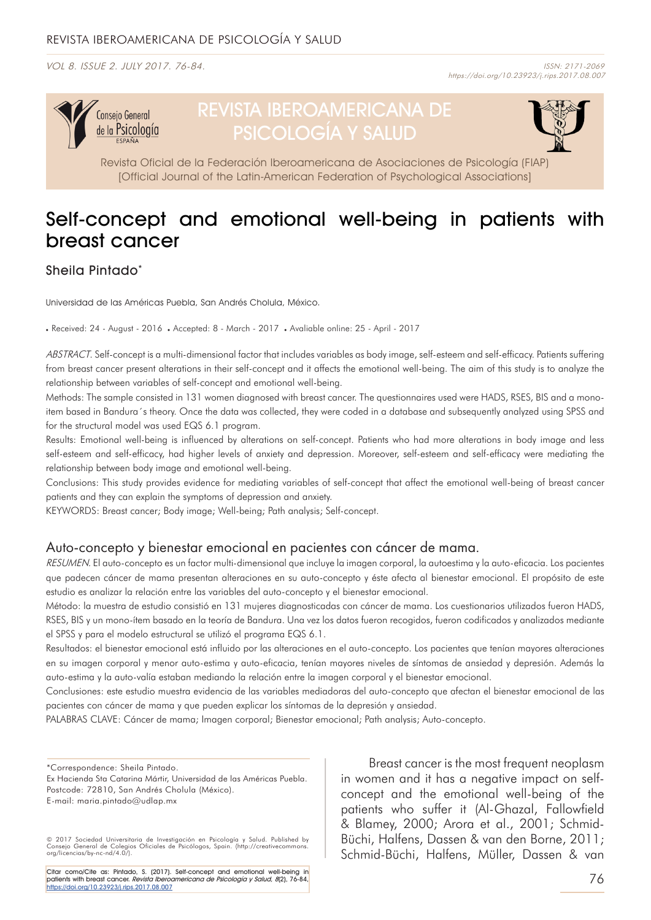VOL 8. ISSUE 2. JULY 2017. 76-84. ISSN: 2171-2069



# REVISTA IBEROAMERICANA DE PSICOLOGÍA Y SALUD



Revista Oficial de la Federación Iberoamericana de Asociaciones de Psicología (FIAP) [Official Journal of the Latin-American Federation of Psychological Associations]

## Self-concept and emotional well-being in patients with breast cancer

## Sheila Pintado\*

Universidad de las Américas Puebla, San Andrés Cholula, México.

Received: 24 - August - 2016 . Accepted: 8 - March - 2017 . Avaliable online: 25 - April - 2017

ABSTRACT. Self-concept is a multi-dimensional factor that includes variables as body image, self-esteem and self-efficacy. Patients suffering from breast cancer present alterations in their self-concept and it affects the emotional well-being. The aim of this study is to analyze the relationship between variables of self-concept and emotional well-being.

Methods: The sample consisted in 131 women diagnosed with breast cancer. The questionnaires used were HADS, RSES, BIS and a monoitem based in Bandura´s theory. Once the data was collected, they were coded in a database and subsequently analyzed using SPSS and for the structural model was used EQS 6.1 program.

Results: Emotional well-being is influenced by alterations on self-concept. Patients who had more alterations in body image and less self-esteem and self-efficacy, had higher levels of anxiety and depression. Moreover, self-esteem and self-efficacy were mediating the relationship between body image and emotional well-being.

Conclusions: This study provides evidence for mediating variables of self-concept that affect the emotional well-being of breast cancer patients and they can explain the symptoms of depression and anxiety.

KEYWORDS: Breast cancer; Body image; Well-being; Path analysis; Self-concept.

## Auto-concepto y bienestar emocional en pacientes con cáncer de mama.

RESUMEN. El auto-concepto es un factor multi-dimensional que incluye la imagen corporal, la autoestima y la auto-eficacia. Los pacientes que padecen cáncer de mama presentan alteraciones en su auto-concepto y éste afecta al bienestar emocional. El propósito de este estudio es analizar la relación entre las variables del auto-concepto y el bienestar emocional.

Método: la muestra de estudio consistió en 131 mujeres diagnosticadas con cáncer de mama. Los cuestionarios utilizados fueron HADS, RSES, BIS y un mono-ítem basado en la teoría de Bandura. Una vez los datos fueron recogidos, fueron codificados y analizados mediante el SPSS y para el modelo estructural se utilizó el programa EQS 6.1.

Resultados: el bienestar emocional está influido por las alteraciones en el auto-concepto. Los pacientes que tenían mayores alteraciones en su imagen corporal y menor auto-estima y auto-eficacia, tenían mayores niveles de síntomas de ansiedad y depresión. Además la auto-estima y la auto-valía estaban mediando la relación entre la imagen corporal y el bienestar emocional.

Conclusiones: este estudio muestra evidencia de las variables mediadoras del auto-concepto que afectan el bienestar emocional de las pacientes con cáncer de mama y que pueden explicar los síntomas de la depresión y ansiedad.

PALABRAS CLAVE: Cáncer de mama; Imagen corporal; Bienestar emocional; Path analysis; Auto-concepto.

\*Correspondence: Sheila Pintado.

Citar como/Cite as: Pintado, S. (2017). Self-concept and emotional well-being in patients with breast cancer. Revista Iberoamericana de Psicología y Salud, 8(2), 76-84, [https://doi.org/10.23923/j.rips.2017.08.007](http://www.rips.cop.es/pii?pii=7)

Breast cancer is the most frequent neoplasm in women and it has a negative impact on selfconcept and the emotional well-being of the patients who suffer it (Al-Ghazal, Fallowfield & Blamey, 2000; Arora et al., 2001; Schmid-Büchi, Halfens, Dassen & van den Borne, 2011; Schmid-Büchi, Halfens, Müller, Dassen & van

Ex Hacienda Sta Catarina Mártir, Universidad de las Américas Puebla. Postcode: 72810, San Andrés Cholula (México). E-mail: maria.pintado@udlap.mx

<sup>© 2017</sup> Sociedad Universitaria de Investigación en Psicología y Salud. Published by Consejo General de Colegios Oficiales de Psicólogos, Spain. (http://creativecommons. org/licencias/by-nc-nd/4.0/).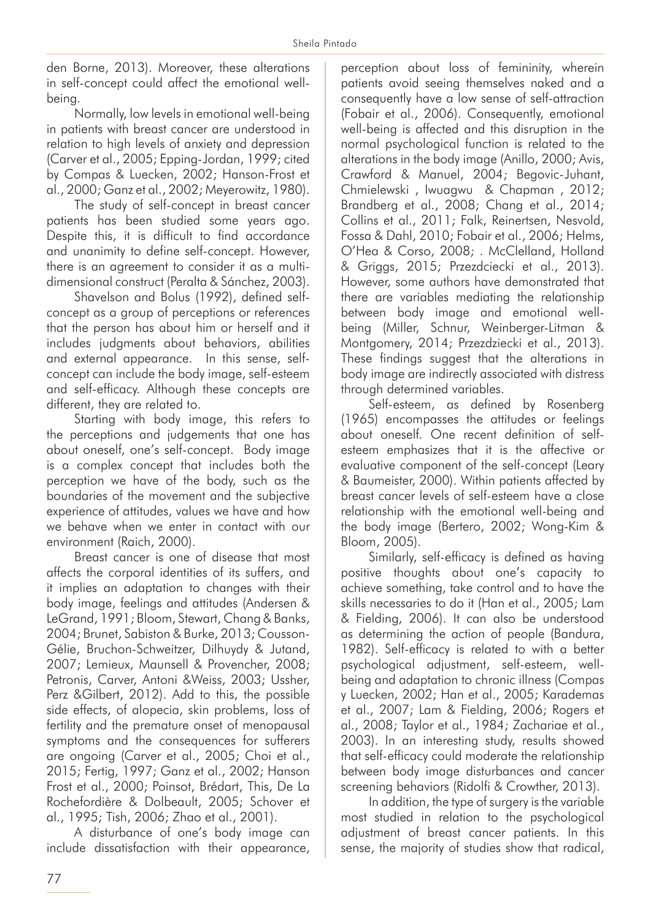den Borne, 2013). Moreover, these alterations in self-concept could affect the emotional wellbeing.

Normally, low levels in emotional well-being in patients with breast cancer are understood in relation to high levels of anxiety and depression (Carver et al., 2005; Epping-Jordan, 1999; cited by Compas & Luecken, 2002; Hanson-Frost et al., 2000; Ganz et al., 2002; Meyerowitz, 1980).

The study of self-concept in breast cancer patients has been studied some years ago. Despite this, it is difficult to find accordance and unanimity to define self-concept. However, there is an agreement to consider it as a multidimensional construct (Peralta & Sánchez, 2003).

Shavelson and Bolus (1992), defined selfconcept as a group of perceptions or references that the person has about him or herself and it includes judgments about behaviors, abilities and external appearance. In this sense, selfconcept can include the body image, self-esteem and self-efficacy. Although these concepts are different, they are related to.

Starting with body image, this refers to the perceptions and judgements that one has about oneself, one's self-concept. Body image is a complex concept that includes both the perception we have of the body, such as the boundaries of the movement and the subjective experience of attitudes, values we have and how we behave when we enter in contact with our environment (Raich, 2000).

Breast cancer is one of disease that most affects the corporal identities of its suffers, and it implies an adaptation to changes with their body image, feelings and attitudes (Andersen & LeGrand, 1991; Bloom, Stewart, Chang & Banks, 2004; Brunet, Sabiston & Burke, 2013; Cousson-Gélie, Bruchon-Schweitzer, Dilhuydy & Jutand, 2007; Lemieux, Maunsell & Provencher, 2008; Petronis, Carver, Antoni &Weiss, 2003; Ussher, Perz &Gilbert, 2012). Add to this, the possible side effects, of alopecia, skin problems, loss of fertility and the premature onset of menopausal symptoms and the consequences for sufferers are ongoing (Carver et al., 2005; Choi et al., 2015; Fertig, 1997; Ganz et al., 2002; Hanson Frost et al., 2000; Poinsot, Brédart, This, De La Rochefordière & Dolbeault, 2005; Schover et al., 1995; Tish, 2006; Zhao et al., 2001).

A disturbance of one's body image can include dissatisfaction with their appearance, perception about loss of femininity, wherein patients avoid seeing themselves naked and a consequently have a low sense of self-attraction (Fobair et al., 2006). Consequently, emotional well-being is affected and this disruption in the normal psychological function is related to the alterations in the body image (Anillo, 2000; Avis, Crawford & Manuel, 2004; Begovic-Juhant, Chmielewski , Iwuagwu & Chapman , 2012; Brandberg et al., 2008; Chang et al., 2014; Collins et al., 2011; Falk, Reinertsen, Nesvold, Fossa & Dahl, 2010; Fobair et al., 2006; Helms, O'Hea & Corso, 2008; . McClelland, Holland & Griggs, 2015; Przezdciecki et al., 2013). However, some authors have demonstrated that there are variables mediating the relationship between body image and emotional wellbeing (Miller, Schnur, Weinberger-Litman & Montgomery, 2014; Przezdziecki et al., 2013). These findings suggest that the alterations in body image are indirectly associated with distress through determined variables.

Self-esteem, as defined by Rosenberg (1965) encompasses the attitudes or feelings about oneself. One recent definition of selfesteem emphasizes that it is the affective or evaluative component of the self-concept (Leary & Baumeister, 2000). Within patients affected by breast cancer levels of self-esteem have a close relationship with the emotional well-being and the body image (Bertero, 2002; Wong-Kim & Bloom, 2005).

Similarly, self-efficacy is defined as having positive thoughts about one's capacity to achieve something, take control and to have the skills necessaries to do it (Han et al., 2005; Lam & Fielding, 2006). It can also be understood as determining the action of people (Bandura, 1982). Self-efficacy is related to with a better psychological adjustment, self-esteem, wellbeing and adaptation to chronic illness (Compas y Luecken, 2002; Han et al., 2005; Karademas et al., 2007; Lam & Fielding, 2006; Rogers et al., 2008; Taylor et al., 1984; Zachariae et al., 2003). In an interesting study, results showed that self-efficacy could moderate the relationship between body image disturbances and cancer screening behaviors (Ridolfi & Crowther, 2013).

In addition, the type of surgery is the variable most studied in relation to the psychological adjustment of breast cancer patients. In this sense, the majority of studies show that radical,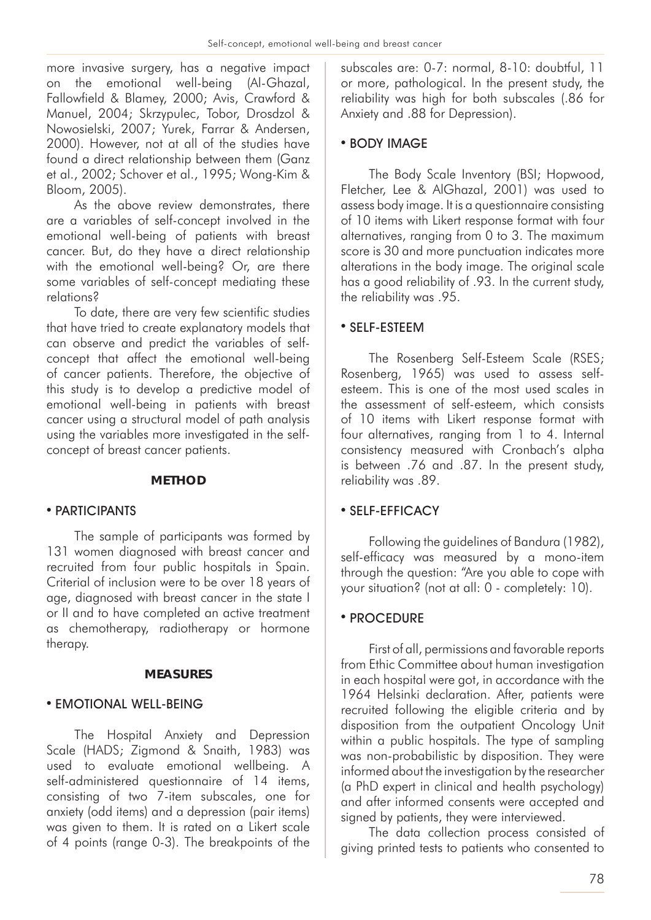more invasive surgery, has a negative impact on the emotional well-being (Al-Ghazal, Fallowfield & Blamey, 2000; Avis, Crawford & Manuel, 2004; Skrzypulec, Tobor, Drosdzol & Nowosielski, 2007; Yurek, Farrar & Andersen, 2000). However, not at all of the studies have found a direct relationship between them (Ganz et al., 2002; Schover et al., 1995; Wong-Kim & Bloom, 2005).

As the above review demonstrates, there are a variables of self-concept involved in the emotional well-being of patients with breast cancer. But, do they have a direct relationship with the emotional well-being? Or, are there some variables of self-concept mediating these relations?

To date, there are very few scientific studies that have tried to create explanatory models that can observe and predict the variables of selfconcept that affect the emotional well-being of cancer patients. Therefore, the objective of this study is to develop a predictive model of emotional well-being in patients with breast cancer using a structural model of path analysis using the variables more investigated in the selfconcept of breast cancer patients.

## **METHOD**

## • PARTICIPANTS

The sample of participants was formed by 131 women diagnosed with breast cancer and recruited from four public hospitals in Spain. Criterial of inclusion were to be over 18 years of age, diagnosed with breast cancer in the state I or II and to have completed an active treatment as chemotherapy, radiotherapy or hormone therapy.

## **MEASURES**

## **• EMOTIONAL WELL-BEING**

The Hospital Anxiety and Depression Scale (HADS; Zigmond & Snaith, 1983) was used to evaluate emotional wellbeing. A self-administered questionnaire of 14 items, consisting of two 7-item subscales, one for anxiety (odd items) and a depression (pair items) was given to them. It is rated on a Likert scale of 4 points (range 0-3). The breakpoints of the

subscales are: 0-7: normal, 8-10: doubtful, 11 or more, pathological. In the present study, the reliability was high for both subscales (.86 for Anxiety and .88 for Depression).

## • BODY IMAGE

The Body Scale Inventory (BSI; Hopwood, Fletcher, Lee & AlGhazal, 2001) was used to assess body image. It is a questionnaire consisting of 10 items with Likert response format with four alternatives, ranging from 0 to 3. The maximum score is 30 and more punctuation indicates more alterations in the body image. The original scale has a good reliability of .93. In the current study, the reliability was .95.

## • SELF-ESTEEM

The Rosenberg Self-Esteem Scale (RSES; Rosenberg, 1965) was used to assess selfesteem. This is one of the most used scales in the assessment of self-esteem, which consists of 10 items with Likert response format with four alternatives, ranging from 1 to 4. Internal consistency measured with Cronbach's alpha is between .76 and .87. In the present study, reliability was .89.

## • SELF-EFFICACY

Following the guidelines of Bandura (1982), self-efficacy was measured by a mono-item through the question: "Are you able to cope with your situation? (not at all: 0 - completely: 10).

## • PROCEDURE

First of all, permissions and favorable reports from Ethic Committee about human investigation in each hospital were got, in accordance with the 1964 Helsinki declaration. After, patients were recruited following the eligible criteria and by disposition from the outpatient Oncology Unit within a public hospitals. The type of sampling was non-probabilistic by disposition. They were informed about the investigation by the researcher (a PhD expert in clinical and health psychology) and after informed consents were accepted and signed by patients, they were interviewed.

The data collection process consisted of giving printed tests to patients who consented to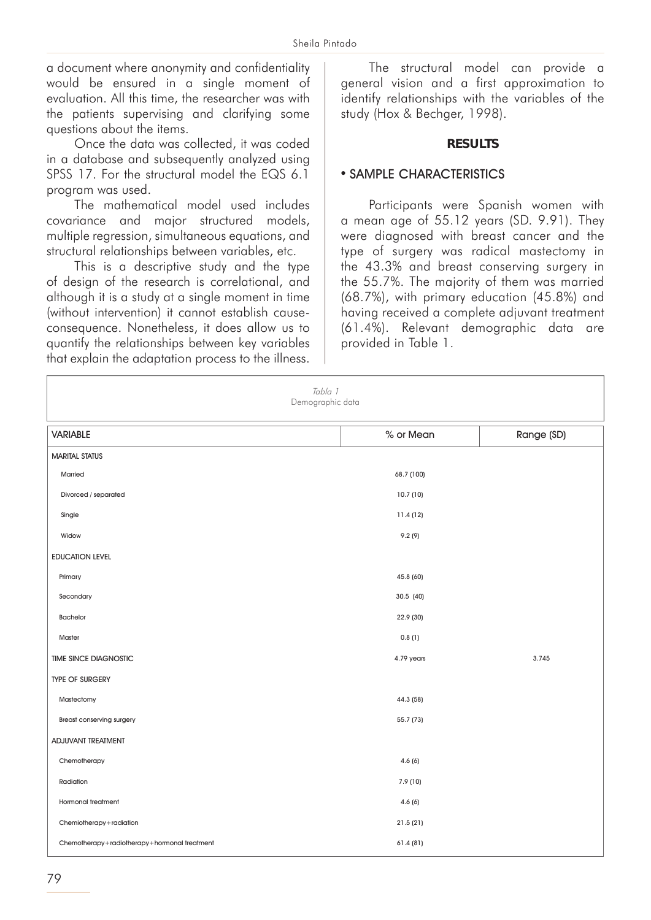a document where anonymity and confidentiality would be ensured in a single moment of evaluation. All this time, the researcher was with the patients supervising and clarifying some questions about the items.

Once the data was collected, it was coded in a database and subsequently analyzed using SPSS 17. For the structural model the EQS 6.1 program was used.

The mathematical model used includes covariance and major structured models, multiple regression, simultaneous equations, and structural relationships between variables, etc.

This is a descriptive study and the type of design of the research is correlational, and although it is a study at a single moment in time (without intervention) it cannot establish causeconsequence. Nonetheless, it does allow us to quantify the relationships between key variables that explain the adaptation process to the illness.

The structural model can provide a general vision and a first approximation to identify relationships with the variables of the study (Hox & Bechger, 1998).

#### **RESULTS**

#### • SAMPLE CHARACTERISTICS

Participants were Spanish women with a mean age of 55.12 years (SD. 9.91). They were diagnosed with breast cancer and the type of surgery was radical mastectomy in the 43.3% and breast conserving surgery in the 55.7%. The majority of them was married (68.7%), with primary education (45.8%) and having received a complete adjuvant treatment (61.4%). Relevant demographic data are provided in Table 1.

| Tabla 1<br>Demographic data                  |            |            |
|----------------------------------------------|------------|------------|
| <b>VARIABLE</b>                              | % or Mean  | Range (SD) |
| <b>MARITAL STATUS</b>                        |            |            |
| Married                                      | 68.7 (100) |            |
| Divorced / separated                         | 10.7(10)   |            |
| Single                                       | 11.4(12)   |            |
| Widow                                        | 9.2(9)     |            |
| <b>EDUCATION LEVEL</b>                       |            |            |
| Primary                                      | 45.8 (60)  |            |
| Secondary                                    | 30.5 (40)  |            |
| <b>Bachelor</b>                              | 22.9 (30)  |            |
| Master                                       | 0.8(1)     |            |
| <b>TIME SINCE DIAGNOSTIC</b>                 | 4.79 years | 3.745      |
| <b>TYPE OF SURGERY</b>                       |            |            |
| Mastectomy                                   | 44.3 (58)  |            |
| <b>Breast conserving surgery</b>             | 55.7 (73)  |            |
| ADJUVANT TREATMENT                           |            |            |
| Chemotherapy                                 | 4.6(6)     |            |
| Radiation                                    | 7.9 (10)   |            |
| <b>Hormonal treatment</b>                    | 4.6(6)     |            |
| Chemiotherapy+radiation                      | 21.5(21)   |            |
| Chemotherapy+radiotherapy+hormonal treatment | 61.4 (81)  |            |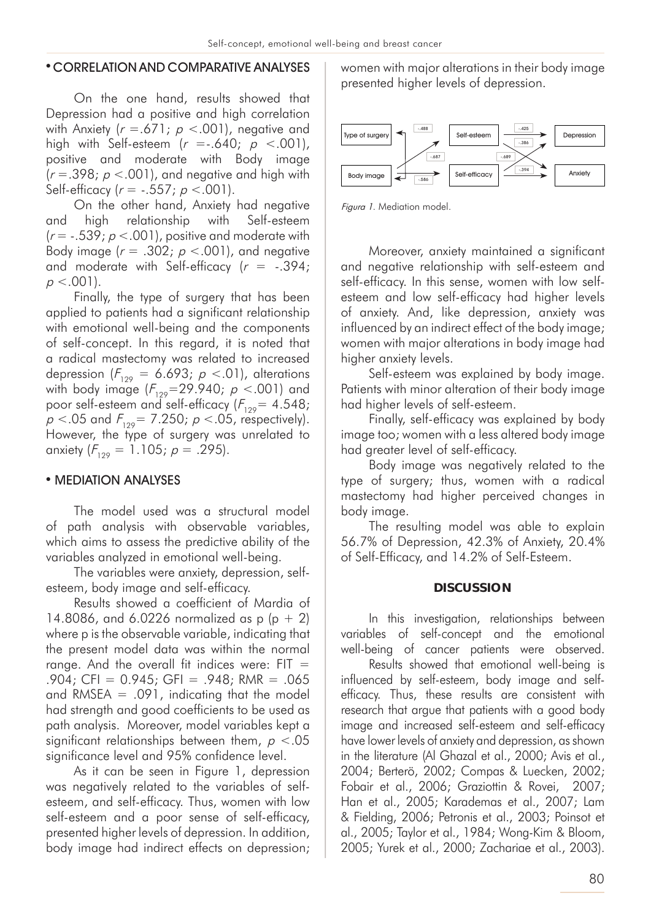#### • CORRELATION AND COMPARATIVE ANALYSES

On the one hand, results showed that Depression had a positive and high correlation with Anxiety ( $r = .671$ ;  $p < .001$ ), negative and high with Self-esteem  $(r = .640; p < .001)$ , positive and moderate with Body image  $(r = .398; p < .001)$ , and negative and high with Self-efficacy ( $r = -.557$ ;  $p < .001$ ).

On the other hand, Anxiety had negative and high relationship with Self-esteem  $(r = -.539; p < .001)$ , positive and moderate with Body image ( $r = .302$ ;  $p < .001$ ), and negative and moderate with Self-efficacy ( $r = -.394$ ;  $p < .001$ ).

Finally, the type of surgery that has been applied to patients had a significant relationship with emotional well-being and the components of self-concept. In this regard, it is noted that a radical mastectomy was related to increased depression  $(F_{129} = 6.693; p < .01)$ , alterations with body image  $(F_{129}=29.940; p < .001)$  and poor self-esteem and self-efficacy ( $F_{129}$ = 4.548;  $p < 0.05$  and  $F_{129} = 7.250$ ;  $p < 0.05$ , respectively). However, the type of surgery was unrelated to anxiety  $(F_{129} = 1.105; p = .295)$ .

## • MEDIATION ANALYSES

The model used was a structural model of path analysis with observable variables, which aims to assess the predictive ability of the variables analyzed in emotional well-being.

The variables were anxiety, depression, selfesteem, body image and self-efficacy.

Results showed a coefficient of Mardia of 14.8086, and 6.0226 normalized as p  $(p + 2)$ where p is the observable variable, indicating that the present model data was within the normal range. And the overall fit indices were:  $FIT =$  $.904$ ; CFI = 0.945; GFI =  $.948$ ; RMR =  $.065$ and RMSEA  $= .091$ , indicating that the model had strength and good coefficients to be used as path analysis. Moreover, model variables kept a significant relationships between them,  $p < 0.05$ significance level and 95% confidence level.

As it can be seen in Figure 1, depression was negatively related to the variables of selfesteem, and self-efficacy. Thus, women with low self-esteem and a poor sense of self-efficacy, presented higher levels of depression. In addition, body image had indirect effects on depression; women with major alterations in their body image presented higher levels of depression.



Figura 1. Mediation model.

Moreover, anxiety maintained a significant and negative relationship with self-esteem and self-efficacy. In this sense, women with low selfesteem and low self-efficacy had higher levels of anxiety. And, like depression, anxiety was influenced by an indirect effect of the body image; women with major alterations in body image had higher anxiety levels.

Self-esteem was explained by body image. Patients with minor alteration of their body image had higher levels of self-esteem.

Finally, self-efficacy was explained by body image too; women with a less altered body image had greater level of self-efficacy.

Body image was negatively related to the type of surgery; thus, women with a radical mastectomy had higher perceived changes in body image.

The resulting model was able to explain 56.7% of Depression, 42.3% of Anxiety, 20.4% of Self-Efficacy, and 14.2% of Self-Esteem.

#### **DISCUSSION**

In this investigation, relationships between variables of self-concept and the emotional well-being of cancer patients were observed.

Results showed that emotional well-being is influenced by self-esteem, body image and selfefficacy. Thus, these results are consistent with research that argue that patients with a good body image and increased self-esteem and self-efficacy have lower levels of anxiety and depression, as shown in the literature (Al Ghazal et al., 2000; Avis et al., 2004; Berterö, 2002; Compas & Luecken, 2002; Fobair et al., 2006; Graziottin & Rovei, 2007; Han et al., 2005; Karademas et al., 2007; Lam & Fielding, 2006; Petronis et al., 2003; Poinsot et al., 2005; Taylor et al., 1984; Wong-Kim & Bloom, 2005; Yurek et al., 2000; Zachariae et al., 2003).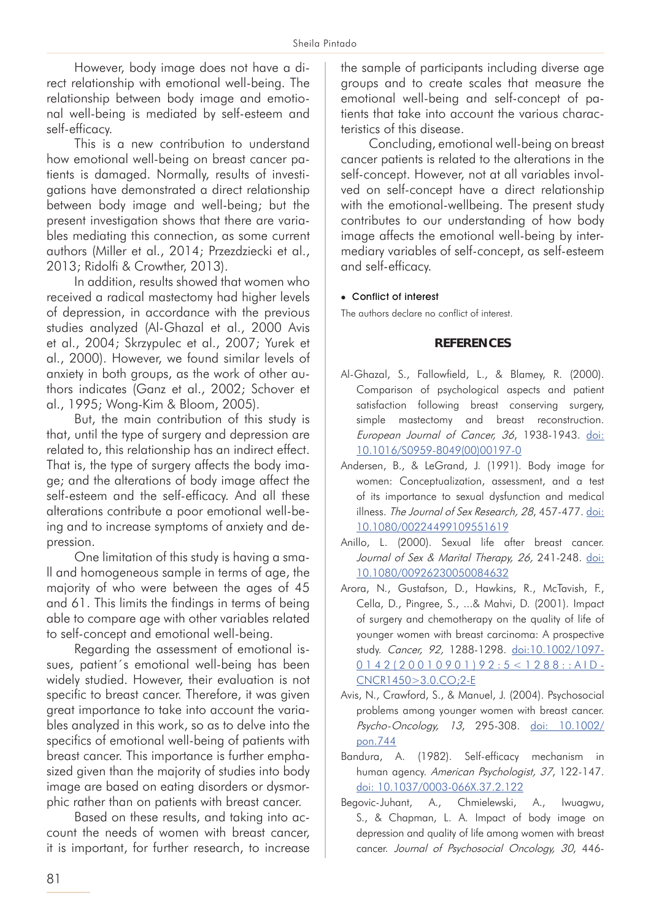However, body image does not have a direct relationship with emotional well-being. The relationship between body image and emotional well-being is mediated by self-esteem and self-efficacy.

This is a new contribution to understand how emotional well-being on breast cancer patients is damaged. Normally, results of investigations have demonstrated a direct relationship between body image and well-being; but the present investigation shows that there are variables mediating this connection, as some current authors (Miller et al., 2014; Przezdziecki et al., 2013; Ridolfi & Crowther, 2013).

In addition, results showed that women who received a radical mastectomy had higher levels of depression, in accordance with the previous studies analyzed (Al-Ghazal et al., 2000 Avis et al., 2004; Skrzypulec et al., 2007; Yurek et al., 2000). However, we found similar levels of anxiety in both groups, as the work of other authors indicates (Ganz et al., 2002; Schover et al., 1995; Wong-Kim & Bloom, 2005).

But, the main contribution of this study is that, until the type of surgery and depression are related to, this relationship has an indirect effect. That is, the type of surgery affects the body image; and the alterations of body image affect the self-esteem and the self-efficacy. And all these alterations contribute a poor emotional well-being and to increase symptoms of anxiety and depression.

One limitation of this study is having a small and homogeneous sample in terms of age, the majority of who were between the ages of 45 and 61. This limits the findings in terms of being able to compare age with other variables related to self-concept and emotional well-being.

Regarding the assessment of emotional issues, patient´s emotional well-being has been widely studied. However, their evaluation is not specific to breast cancer. Therefore, it was given great importance to take into account the variables analyzed in this work, so as to delve into the specifics of emotional well-being of patients with breast cancer. This importance is further emphasized given than the majority of studies into body image are based on eating disorders or dysmorphic rather than on patients with breast cancer.

Based on these results, and taking into account the needs of women with breast cancer, it is important, for further research, to increase

the sample of participants including diverse age groups and to create scales that measure the emotional well-being and self-concept of patients that take into account the various characteristics of this disease.

Concluding, emotional well-being on breast cancer patients is related to the alterations in the self-concept. However, not at all variables involved on self-concept have a direct relationship with the emotional-wellbeing. The present study contributes to our understanding of how body image affects the emotional well-being by intermediary variables of self-concept, as self-esteem and self-efficacy.

#### • Conflict of interest

The authors declare no conflict of interest.

#### **REFERENCES**

- Al-Ghazal, S., Fallowfield, L., & Blamey, R. (2000). Comparison of psychological aspects and patient satisfaction following breast conserving surgery, simple mastectomy and breast reconstruction. European Journal of Cancer, 36, 1938-1943. [doi:](http://www.ejcancer.com/article/S0959-8049(00)00197-0/abstract)  [10.1016/S0959-8049\(00\)00197-0](http://www.ejcancer.com/article/S0959-8049(00)00197-0/abstract)
- Andersen, B., & LeGrand, J. (1991). Body image for women: Conceptualization, assessment, and a test of its importance to sexual dysfunction and medical illness. The Journal of Sex Research, 28, 457-477. [doi:](http://www.tandfonline.com/doi/abs/10.1080/00224499109551619)  [10.1080/00224499109551619](http://www.tandfonline.com/doi/abs/10.1080/00224499109551619)
- Anillo, L. (2000). Sexual life after breast cancer. Journal of Sex & Marital Therapy, 26, 241-248. [doi:](http://www.tandfonline.com/doi/abs/10.1080/00926230050084632)  [10.1080/00926230050084632](http://www.tandfonline.com/doi/abs/10.1080/00926230050084632)
- Arora, N., Gustafson, D., Hawkins, R., McTavish, F., Cella, D., Pingree, S., ...& Mahvi, D. (2001). Impact of surgery and chemotherapy on the quality of life of younger women with breast carcinoma: A prospective study. Cancer, 92, 1288-1298. [doi:10.1002/1097-](http://onlinelibrary.wiley.com/doi/10.1002/1097-0142(20010901)92:5%3C1288::AID-CNCR1450%3E3.0.CO;2-E/abstract;jsessionid=1FCF17886F226AE0004844D48731FF1C.f03t01) [0142\(20010901\)92:5<1288::AID-](http://onlinelibrary.wiley.com/doi/10.1002/1097-0142(20010901)92:5%3C1288::AID-CNCR1450%3E3.0.CO;2-E/abstract;jsessionid=1FCF17886F226AE0004844D48731FF1C.f03t01)[CNCR1450>3.0.CO;2-E](http://onlinelibrary.wiley.com/doi/10.1002/1097-0142(20010901)92:5%3C1288::AID-CNCR1450%3E3.0.CO;2-E/abstract;jsessionid=1FCF17886F226AE0004844D48731FF1C.f03t01)
- Avis, N., Crawford, S., & Manuel, J. (2004). Psychosocial problems among younger women with breast cancer. Psycho-Oncology, 13, 295-308. [doi: 10.1002/](http://onlinelibrary.wiley.com/doi/10.1002/pon.744/abstract) [pon.744](http://onlinelibrary.wiley.com/doi/10.1002/pon.744/abstract)
- Bandura, A. (1982). Self-efficacy mechanism in human agency. American Psychologist, 37, 122-147. [doi: 10.1037/0003-066X.37.2.122](http://psycnet.apa.org/journals/amp/37/2/122/)
- Begovic-Juhant, A., Chmielewski, A., Iwuagwu, S., & Chapman, L. A. Impact of body image on depression and quality of life among women with breast cancer. Journal of Psychosocial Oncology, 30, 446-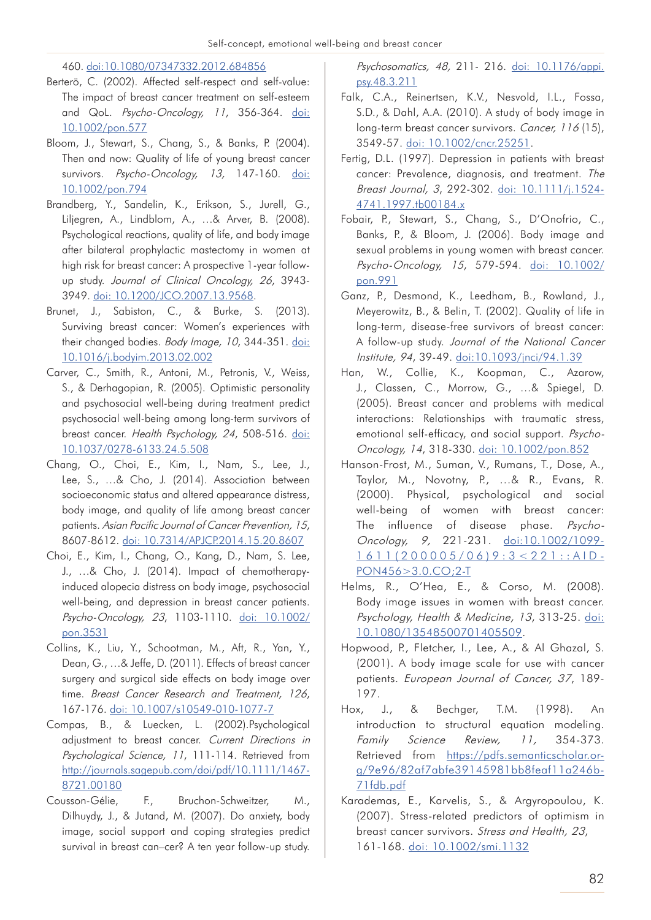460. [doi:10.1080/07347332.2012.684856](http://www.tandfonline.com/doi/abs/10.1080/07347332.2012.684856)

- Berterö, C. (2002). Affected self-respect and self-value: The impact of breast cancer treatment on self-esteem and QoL. Psycho-Oncology, 11, 356-364. [doi:](http://onlinelibrary.wiley.com/doi/10.1002/pon.577/abstract) [10.1002/pon.577](http://onlinelibrary.wiley.com/doi/10.1002/pon.577/abstract)
- Bloom, J., Stewart, S., Chang, S., & Banks, P. (2004). Then and now: Quality of life of young breast cancer survivors. Psycho-Oncology, 13, 147-160. [doi:](http://onlinelibrary.wiley.com/doi/10.1002/pon.794/abstract) [10.1002/pon.794](http://onlinelibrary.wiley.com/doi/10.1002/pon.794/abstract)
- Brandberg, Y., Sandelin, K., Erikson, S., Jurell, G., Liljegren, A., Lindblom, A., …& Arver, B. (2008). Psychological reactions, quality of life, and body image after bilateral prophylactic mastectomy in women at high risk for breast cancer: A prospective 1-year followup study. Journal of Clinical Oncology, 26, 3943- 3949. [doi: 10.1200/JCO.2007.13.9568.](http://ascopubs.org/doi/10.1200/JCO.2007.13.9568)
- Brunet, J., Sabiston, C., & Burke, S. (2013). Surviving breast cancer: Women's experiences with their changed bodies. Body Image, 10, 344-351. [doi:](http://www.sciencedirect.com/science/article/pii/S1740144513000260) [10.1016/j.bodyim.2013.02.002](http://www.sciencedirect.com/science/article/pii/S1740144513000260)
- Carver, C., Smith, R., Antoni, M., Petronis, V., Weiss, S., & Derhagopian, R. (2005). Optimistic personality and psychosocial well-being during treatment predict psychosocial well-being among long-term survivors of breast cancer. Health Psychology, 24, 508-516. [doi:](http://psycnet.apa.org/index.cfm?fa=buy.optionToBuy&uid=2005-09850-009) [10.1037/0278-6133.24.5.508](http://psycnet.apa.org/index.cfm?fa=buy.optionToBuy&uid=2005-09850-009)
- Chang, O., Choi, E., Kim, I., Nam, S., Lee, J., Lee, S., …& Cho, J. (2014). Association between socioeconomic status and altered appearance distress, body image, and quality of life among breast cancer patients. Asian Pacific Journal of Cancer Prevention, 15, 8607-8612. [doi: 10.7314/APJCP.2014.15.20.8607](http://koreascience.or.kr/article/ArticleFullRecord.jsp?cn=POCPA9_2014_v15n20_8607)
- Choi, E., Kim, I., Chang, O., Kang, D., Nam, S. Lee, J., …& Cho, J. (2014). Impact of chemotherapyinduced alopecia distress on body image, psychosocial well-being, and depression in breast cancer patients. Psycho-Oncology, 23, 1103-1110. [doi: 10.1002/](http://onlinelibrary.wiley.com/doi/10.1002/pon.3531/abstract) [pon.3531](http://onlinelibrary.wiley.com/doi/10.1002/pon.3531/abstract)
- Collins, K., Liu, Y., Schootman, M., Aft, R., Yan, Y., Dean, G., …& Jeffe, D. (2011). Effects of breast cancer surgery and surgical side effects on body image over time. Breast Cancer Research and Treatment, 126, 167-176. [doi: 10.1007/s10549-010-1077-7](https://link.springer.com/article/10.1007%2Fs10549-010-1077-7)
- Compas, B., & Luecken, L. (2002).Psychological adjustment to breast cancer. Current Directions in Psychological Science, 11, 111-114. Retrieved from [http://journals.sagepub.com/doi/pdf/10.1111/1467-](http://journals.sagepub.com/doi/pdf/10.1111/1467-8721.00180) [8721.00180](http://journals.sagepub.com/doi/pdf/10.1111/1467-8721.00180)
- Cousson-Gélie, F., Bruchon-Schweitzer, M., Dilhuydy, J., & Jutand, M. (2007). Do anxiety, body image, social support and coping strategies predict survival in breast can–cer? A ten year follow-up study.

Psychosomatics, 48, 211- 216. [doi: 10.1176/appi.](http://www.psychosomaticsjournal.com/article/S0033-3182(07)71042-3/abstract) [psy.48.3.211](http://www.psychosomaticsjournal.com/article/S0033-3182(07)71042-3/abstract)

- Falk, C.A., Reinertsen, K.V., Nesvold, I.L., Fossa, S.D., & Dahl, A.A. (2010). A study of body image in long-term breast cancer survivors. Cancer, 116 (15), 3549-57. [doi: 10.1002/cncr.25251](http://onlinelibrary.wiley.com/doi/10.1002/cncr.25251/abstract).
- Fertig, D.L. (1997). Depression in patients with breast cancer: Prevalence, diagnosis, and treatment. The Breast Journal, 3, 292-302. [doi: 10.1111/j.1524-](http://onlinelibrary.wiley.com/doi/10.1111/j.1524-4741.1997.tb00184.x/abstract) [4741.1997.tb00184.x](http://onlinelibrary.wiley.com/doi/10.1111/j.1524-4741.1997.tb00184.x/abstract)
- Fobair, P., Stewart, S., Chang, S., D'Onofrio, C., Banks, P., & Bloom, J. (2006). Body image and sexual problems in young women with breast cancer. Psycho-Oncology, 15, 579-594. [doi: 10.1002/](http://onlinelibrary.wiley.com/doi/10.1002/pon.991/abstract) [pon.991](http://onlinelibrary.wiley.com/doi/10.1002/pon.991/abstract)
- Ganz, P., Desmond, K., Leedham, B., Rowland, J., Meyerowitz, B., & Belin, T. (2002). Quality of life in long-term, disease-free survivors of breast cancer: A follow-up study. Journal of the National Cancer Institute, 94, 39-49. [doi:10.1093/jnci/94.1.39](https://academic.oup.com/jnci/article-lookup/doi/10.1093/jnci/94.1.39)
- Han, W., Collie, K., Koopman, C., Azarow, J., Classen, C., Morrow, G., …& Spiegel, D. (2005). Breast cancer and problems with medical interactions: Relationships with traumatic stress, emotional self-efficacy, and social support. Psycho-Oncology, 14, 318-330. [doi: 10.1002/pon.852](http://onlinelibrary.wiley.com/doi/10.1002/pon.852/abstract)
- Hanson-Frost, M., Suman, V., Rumans, T., Dose, A., Taylor, M., Novotny, P., …& R., Evans, R. (2000). Physical, psychological and social well-being of women with breast cancer: The influence of disease phase. PsychoOncology, 9, 221-231. [doi:10.1002/1099-](http://onlinelibrary.wiley.com/doi/10.1002/1099-1611(200005/06)9:3%3C221::AID-PON456%3E3.0.CO;2-T/abstract) [1611\(200005/06\)9:3<221::AID-](http://onlinelibrary.wiley.com/doi/10.1002/1099-1611(200005/06)9:3%3C221::AID-PON456%3E3.0.CO;2-T/abstract)[PON456>3.0.CO;2-T](http://onlinelibrary.wiley.com/doi/10.1002/1099-1611(200005/06)9:3%3C221::AID-PON456%3E3.0.CO;2-T/abstract)
- Helms, R., O'Hea, E., & Corso, M. (2008). Body image issues in women with breast cancer. Psychology, Health & Medicine, 13, 313-25. [doi:](http://www.tandfonline.com/doi/abs/10.1080/13548500701405509)  [10.1080/13548500701405509.](http://www.tandfonline.com/doi/abs/10.1080/13548500701405509)
- Hopwood, P., Fletcher, I., Lee, A., & Al Ghazal, S. (2001). A body image scale for use with cancer patients. European Journal of Cancer, 37, 189- 197.
- Hox, J., & Bechger, T.M. (1998). An introduction to structural equation modeling. Family Science Review, 11, 354-373. Retrieved from [https://pdfs.semanticscholar.or](https://pdfs.semanticscholar.org/9e96/82af7abfe39145981bb8feaf11a246b71fdb.pdf)[g/9e96/82af7abfe39145981bb8feaf11a246b-](https://pdfs.semanticscholar.org/9e96/82af7abfe39145981bb8feaf11a246b71fdb.pdf)[71fdb.pdf](https://pdfs.semanticscholar.org/9e96/82af7abfe39145981bb8feaf11a246b71fdb.pdf)
- Karademas, E., Karvelis, S., & Argyropoulou, K. (2007). Stress-related predictors of optimism in breast cancer survivors. Stress and Health, 23, 161-168. [doi: 10.1002/smi.1132](http://onlinelibrary.wiley.com/doi/10.1002/smi.1132/abstract)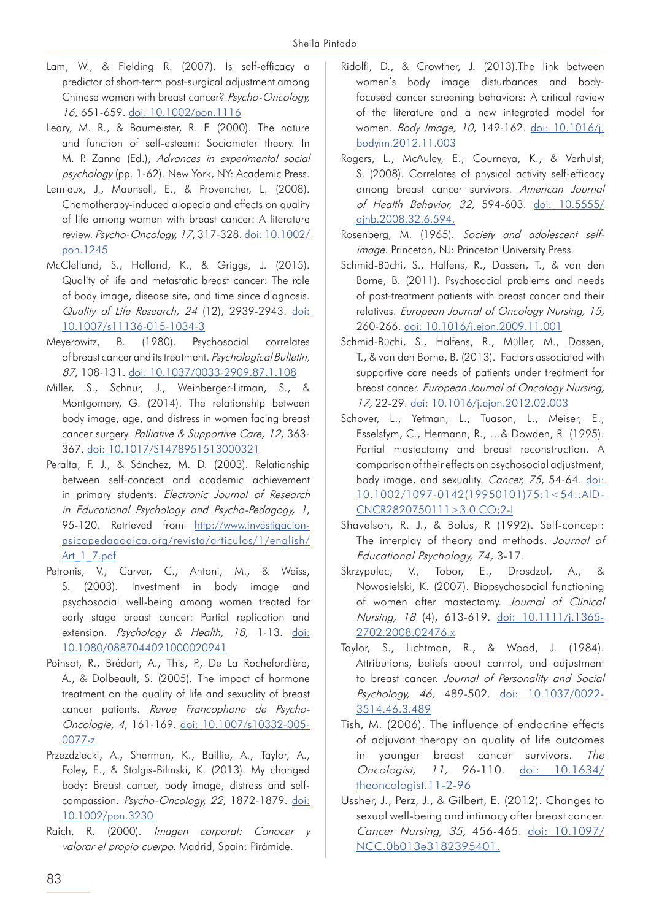- Lam, W., & Fielding R. (2007). Is self-efficacy a predictor of short-term post-surgical adjustment among Chinese women with breast cancer? Psycho-Oncology, 16, 651-659. [doi: 10.1002/pon.1116](http://onlinelibrary.wiley.com/doi/10.1002/pon.1116/abstract)
- Leary, M. R., & Baumeister, R. F. (2000). The nature and function of self-esteem: Sociometer theory. In M. P. Zanna (Ed.), Advances in experimental social psychology (pp. 1-62). New York, NY: Academic Press.
- Lemieux, J., Maunsell, E., & Provencher, L. (2008). Chemotherapy-induced alopecia and effects on quality of life among women with breast cancer: A literature review. Psycho-Oncology, 17, 317-328. [doi: 10.1002/](http://onlinelibrary.wiley.com/doi/10.1002/pon.1245/abstract) [pon.1245](http://onlinelibrary.wiley.com/doi/10.1002/pon.1245/abstract)
- McClelland, S., Holland, K., & Griggs, J. (2015). Quality of life and metastatic breast cancer: The role of body image, disease site, and time since diagnosis. Quality of Life Research, 24 (12), 2939-2943. [doi:](https://link.springer.com/article/10.1007%2Fs11136-015-1034-3) [10.1007/s11136-015-1034-3](https://link.springer.com/article/10.1007%2Fs11136-015-1034-3)
- Meyerowitz, B. (1980). Psychosocial correlates of breast cancer and its treatment. Psychological Bulletin, 87, 108-131. [doi: 10.1037/0033-2909.87.1.108](https://my.apa.org/apa/idm/login.seam?ERIGHTS_TARGET=http%3A%2F%2Fpsycnet%2Eapa%2Eorg%2F%3FloadState%3D1)
- Miller, S., Schnur, J., Weinberger-Litman, S., & Montgomery, G. (2014). The relationship between body image, age, and distress in women facing breast cancer surgery. Palliative & Supportive Care, 12, 363- 367. [doi: 10.1017/S1478951513000321](https://www.cambridge.org/core/journals/palliative-and-supportive-care/article/relationship-between-body-image-age-and-distress-in-women-facing-breast-cancer-surgery/9748D8FCDED056597B78BC7FF963845D)
- Peralta, F. J., & Sánchez, M. D. (2003). Relationship between self-concept and academic achievement in primary students. Electronic Journal of Research in Educational Psychology and Psycho-Pedagogy, 1, 95-120. Retrieved from [http://www.investigacion](http://www.investigacion-psicopedagogica.org/revista/articulos/1/english/Art_1_7.pdf)[psicopedagogica.org/revista/articulos/1/english/](http://www.investigacion-psicopedagogica.org/revista/articulos/1/english/Art_1_7.pdf) [Art\\_1\\_7.pdf](http://www.investigacion-psicopedagogica.org/revista/articulos/1/english/Art_1_7.pdf)
- Petronis, V., Carver, C., Antoni, M., & Weiss, S. (2003). Investment in body image and psychosocial well-being among women treated for early stage breast cancer: Partial replication and extension. Psychology & Health, 18, 1-13. [doi:](http://www.tandfonline.com/doi/abs/10.1080/0887044021000020941) [10.1080/0887044021000020941](http://www.tandfonline.com/doi/abs/10.1080/0887044021000020941)
- Poinsot, R., Brédart, A., This, P., De La Rochefordière, A., & Dolbeault, S. (2005). The impact of hormone treatment on the quality of life and sexuality of breast cancer patients. Revue Francophone de Psycho-Oncologie, 4, 161-169. [doi: 10.1007/s10332-005-](https://link.springer.com/article/10.1007%2Fs10332-005-0077-z) [0077-z](https://link.springer.com/article/10.1007%2Fs10332-005-0077-z)
- Przezdziecki, A., Sherman, K., Baillie, A., Taylor, A., Foley, E., & Stalgis-Bilinski, K. (2013). My changed body: Breast cancer, body image, distress and selfcompassion. Psycho-Oncology, 22, 1872-1879. [doi:](http://onlinelibrary.wiley.com/doi/10.1002/pon.3230/abstract) [10.1002/pon.3230](http://onlinelibrary.wiley.com/doi/10.1002/pon.3230/abstract)
- Raich, R. (2000). Imagen corporal: Conocer y valorar el propio cuerpo. Madrid, Spain: Pirámide.
- Ridolfi, D., & Crowther, J. (2013).The link between women's body image disturbances and bodyfocused cancer screening behaviors: A critical review of the literature and a new integrated model for women. Body Image, 10, 149-162. [doi: 10.1016/j.](http://www.sciencedirect.com/science/article/pii/S1740144512001416) [bodyim.2012.11.003](http://www.sciencedirect.com/science/article/pii/S1740144512001416)
- Rogers, L., McAuley, E., Courneya, K., & Verhulst, S. (2008). Correlates of physical activity self-efficacy among breast cancer survivors. American Journal of Health Behavior, 32, 594-603. [doi: 10.5555/](https://www.ncbi.nlm.nih.gov/pubmed/18442339) [ajhb.2008.32.6.594.](https://www.ncbi.nlm.nih.gov/pubmed/18442339)
- Rosenberg, M. (1965). Society and adolescent selfimage. Princeton, NJ: Princeton University Press.
- Schmid-Büchi, S., Halfens, R., Dassen, T., & van den Borne, B. (2011). Psychosocial problems and needs of post-treatment patients with breast cancer and their relatives. European Journal of Oncology Nursing, 15, 260-266. [doi: 10.1016/j.ejon.2009.11.001](http://www.ejoncologynursing.com/article/S1462-3889(09)00140-9/abstract)
- Schmid-Büchi, S., Halfens, R., Müller, M., Dassen, T., & van den Borne, B. (2013). Factors associated with supportive care needs of patients under treatment for breast cancer. European Journal of Oncology Nursing, 17, 22-29. [doi: 10.1016/j.ejon.2012.02.003](http://www.ejoncologynursing.com/article/S1462-3889(12)00024-5/abstract)
- Schover, L., Yetman, L., Tuason, L., Meiser, E., Esselsfym, C., Hermann, R., …& Dowden, R. (1995). Partial mastectomy and breast reconstruction. A comparison of their effects on psychosocial adjustment, body image, and sexuality. Cancer, 75, 54-64. doi: [10.1002/1097-0142\(19950101\)75:1<54::AID-](http://onlinelibrary.wiley.com/doi/10.1002/1097-0142(19950101)75:1%3C54::AID-CNCR2820750111%3E3.0.CO;2-I/abstract)[CNCR2820750111>3.0.CO;2-I](http://onlinelibrary.wiley.com/doi/10.1002/1097-0142(19950101)75:1%3C54::AID-CNCR2820750111%3E3.0.CO;2-I/abstract)
- Shavelson, R. J., & Bolus, R (1992). Self-concept: The interplay of theory and methods. Journal of Educational Psychology, 74, 3-17.
- Skrzypulec, V., Tobor, E., Drosdzol, A., & Nowosielski, K. (2007). Biopsychosocial functioning of women after mastectomy. Journal of Clinical Nursing, 18 (4), 613-619. [doi: 10.1111/j.1365-](http://onlinelibrary.wiley.com/doi/10.1111/j.1365-2702.2008.02476.x/abstract) [2702.2008.02476.x](http://onlinelibrary.wiley.com/doi/10.1111/j.1365-2702.2008.02476.x/abstract)
- Taylor, S., Lichtman, R., & Wood, J. (1984). Attributions, beliefs about control, and adjustment to breast cancer. Journal of Personality and Social Psychology, 46, 489-502. [doi: 10.1037/0022-](http://psycnet.apa.org/journals/psp/46/3/489/) [3514.46.3.489](http://psycnet.apa.org/journals/psp/46/3/489/)
- Tish, M. (2006). The influence of endocrine effects of adjuvant therapy on quality of life outcomes in younger breast cancer survivors. The Oncologist, 11, 96-110. [doi: 10.1634/](http://theoncologist.alphamedpress.org/content/11/2/96) [theoncologist.11-2-96](http://theoncologist.alphamedpress.org/content/11/2/96)
- Ussher, J., Perz, J., & Gilbert, E. (2012). Changes to sexual well-being and intimacy after breast cancer. Cancer Nursing, 35, 456-465. [doi: 10.1097/](https://www.researchgate.net/publication/221727063_Changes_to_Sexual_Well-Being_and_Intimacy_After_Breast_Cancer) [NCC.0b013e3182395401.](https://www.researchgate.net/publication/221727063_Changes_to_Sexual_Well-Being_and_Intimacy_After_Breast_Cancer)